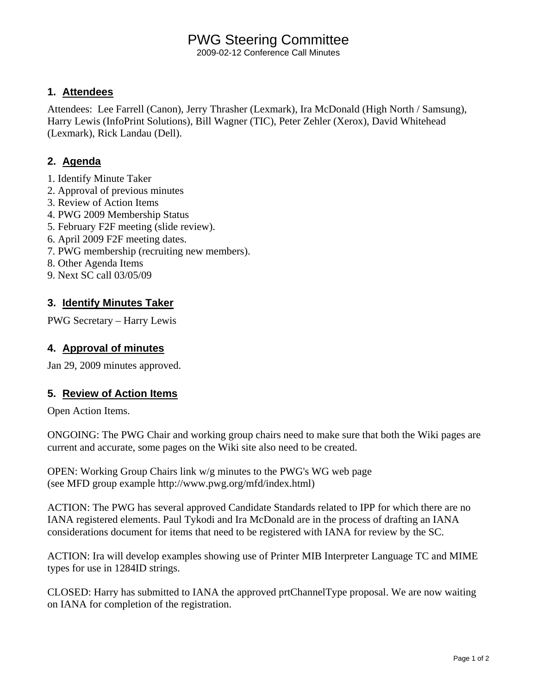# PWG Steering Committee

2009-02-12 Conference Call Minutes

### **1. Attendees**

Attendees: Lee Farrell (Canon), Jerry Thrasher (Lexmark), Ira McDonald (High North / Samsung), Harry Lewis (InfoPrint Solutions), Bill Wagner (TIC), Peter Zehler (Xerox), David Whitehead (Lexmark), Rick Landau (Dell).

## **2. Agenda**

- 1. Identify Minute Taker
- 2. Approval of previous minutes
- 3. Review of Action Items
- 4. PWG 2009 Membership Status
- 5. February F2F meeting (slide review).
- 6. April 2009 F2F meeting dates.
- 7. PWG membership (recruiting new members).
- 8. Other Agenda Items
- 9. Next SC call 03/05/09

## **3. Identify Minutes Taker**

PWG Secretary – Harry Lewis

### **4. Approval of minutes**

Jan 29, 2009 minutes approved.

### **5. Review of Action Items**

Open Action Items.

ONGOING: The PWG Chair and working group chairs need to make sure that both the Wiki pages are current and accurate, some pages on the Wiki site also need to be created.

OPEN: Working Group Chairs link w/g minutes to the PWG's WG web page (see MFD group example http://www.pwg.org/mfd/index.html)

ACTION: The PWG has several approved Candidate Standards related to IPP for which there are no IANA registered elements. Paul Tykodi and Ira McDonald are in the process of drafting an IANA considerations document for items that need to be registered with IANA for review by the SC.

ACTION: Ira will develop examples showing use of Printer MIB Interpreter Language TC and MIME types for use in 1284ID strings.

CLOSED: Harry has submitted to IANA the approved prtChannelType proposal. We are now waiting on IANA for completion of the registration.